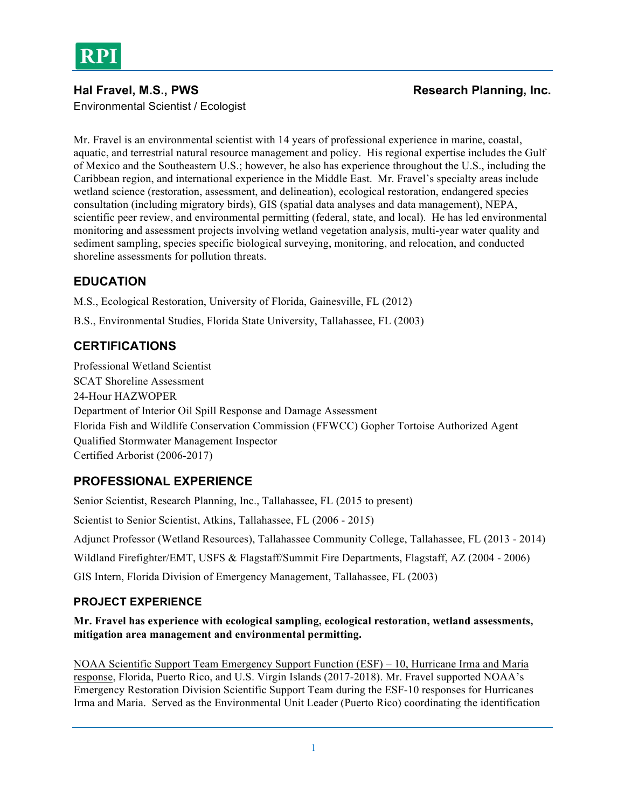

Environmental Scientist / Ecologist

### Hal Fravel, M.S., PWS **Research Planning, Inc. Research Planning, Inc. Research Planning**, Inc.

Mr. Fravel is an environmental scientist with 14 years of professional experience in marine, coastal, aquatic, and terrestrial natural resource management and policy. His regional expertise includes the Gulf of Mexico and the Southeastern U.S.; however, he also has experience throughout the U.S., including the Caribbean region, and international experience in the Middle East. Mr. Fravel's specialty areas include wetland science (restoration, assessment, and delineation), ecological restoration, endangered species consultation (including migratory birds), GIS (spatial data analyses and data management), NEPA, scientific peer review, and environmental permitting (federal, state, and local). He has led environmental monitoring and assessment projects involving wetland vegetation analysis, multi-year water quality and sediment sampling, species specific biological surveying, monitoring, and relocation, and conducted shoreline assessments for pollution threats.

# **EDUCATION**

M.S., Ecological Restoration, University of Florida, Gainesville, FL (2012)

B.S., Environmental Studies, Florida State University, Tallahassee, FL (2003)

# **CERTIFICATIONS**

Professional Wetland Scientist SCAT Shoreline Assessment 24-Hour HAZWOPER Department of Interior Oil Spill Response and Damage Assessment Florida Fish and Wildlife Conservation Commission (FFWCC) Gopher Tortoise Authorized Agent Qualified Stormwater Management Inspector Certified Arborist (2006-2017)

# **PROFESSIONAL EXPERIENCE**

Senior Scientist, Research Planning, Inc., Tallahassee, FL (2015 to present) Scientist to Senior Scientist, Atkins, Tallahassee, FL (2006 - 2015) Adjunct Professor (Wetland Resources), Tallahassee Community College, Tallahassee, FL (2013 - 2014) Wildland Firefighter/EMT, USFS & Flagstaff/Summit Fire Departments, Flagstaff, AZ (2004 - 2006) GIS Intern, Florida Division of Emergency Management, Tallahassee, FL (2003)

### **PROJECT EXPERIENCE**

#### **Mr. Fravel has experience with ecological sampling, ecological restoration, wetland assessments, mitigation area management and environmental permitting.**

NOAA Scientific Support Team Emergency Support Function (ESF) – 10, Hurricane Irma and Maria response, Florida, Puerto Rico, and U.S. Virgin Islands (2017-2018). Mr. Fravel supported NOAA's Emergency Restoration Division Scientific Support Team during the ESF-10 responses for Hurricanes Irma and Maria. Served as the Environmental Unit Leader (Puerto Rico) coordinating the identification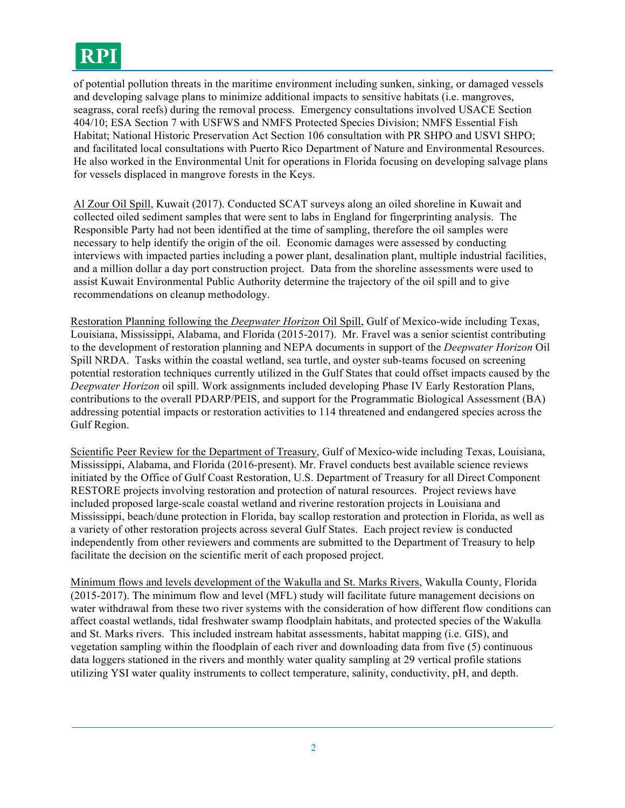# **RPI**

of potential pollution threats in the maritime environment including sunken, sinking, or damaged vessels and developing salvage plans to minimize additional impacts to sensitive habitats (i.e. mangroves, seagrass, coral reefs) during the removal process. Emergency consultations involved USACE Section 404/10; ESA Section 7 with USFWS and NMFS Protected Species Division; NMFS Essential Fish Habitat; National Historic Preservation Act Section 106 consultation with PR SHPO and USVI SHPO; and facilitated local consultations with Puerto Rico Department of Nature and Environmental Resources. He also worked in the Environmental Unit for operations in Florida focusing on developing salvage plans for vessels displaced in mangrove forests in the Keys.

Al Zour Oil Spill, Kuwait (2017). Conducted SCAT surveys along an oiled shoreline in Kuwait and collected oiled sediment samples that were sent to labs in England for fingerprinting analysis. The Responsible Party had not been identified at the time of sampling, therefore the oil samples were necessary to help identify the origin of the oil. Economic damages were assessed by conducting interviews with impacted parties including a power plant, desalination plant, multiple industrial facilities, and a million dollar a day port construction project. Data from the shoreline assessments were used to assist Kuwait Environmental Public Authority determine the trajectory of the oil spill and to give recommendations on cleanup methodology.

Restoration Planning following the *Deepwater Horizon* Oil Spill, Gulf of Mexico-wide including Texas, Louisiana, Mississippi, Alabama, and Florida (2015-2017). Mr. Fravel was a senior scientist contributing to the development of restoration planning and NEPA documents in support of the *Deepwater Horizon* Oil Spill NRDA. Tasks within the coastal wetland, sea turtle, and oyster sub-teams focused on screening potential restoration techniques currently utilized in the Gulf States that could offset impacts caused by the *Deepwater Horizon* oil spill. Work assignments included developing Phase IV Early Restoration Plans, contributions to the overall PDARP/PEIS, and support for the Programmatic Biological Assessment (BA) addressing potential impacts or restoration activities to 114 threatened and endangered species across the Gulf Region.

Scientific Peer Review for the Department of Treasury, Gulf of Mexico-wide including Texas, Louisiana, Mississippi, Alabama, and Florida (2016-present). Mr. Fravel conducts best available science reviews initiated by the Office of Gulf Coast Restoration, U.S. Department of Treasury for all Direct Component RESTORE projects involving restoration and protection of natural resources. Project reviews have included proposed large-scale coastal wetland and riverine restoration projects in Louisiana and Mississippi, beach/dune protection in Florida, bay scallop restoration and protection in Florida, as well as a variety of other restoration projects across several Gulf States. Each project review is conducted independently from other reviewers and comments are submitted to the Department of Treasury to help facilitate the decision on the scientific merit of each proposed project.

Minimum flows and levels development of the Wakulla and St. Marks Rivers, Wakulla County, Florida (2015-2017). The minimum flow and level (MFL) study will facilitate future management decisions on water withdrawal from these two river systems with the consideration of how different flow conditions can affect coastal wetlands, tidal freshwater swamp floodplain habitats, and protected species of the Wakulla and St. Marks rivers. This included instream habitat assessments, habitat mapping (i.e. GIS), and vegetation sampling within the floodplain of each river and downloading data from five (5) continuous data loggers stationed in the rivers and monthly water quality sampling at 29 vertical profile stations utilizing YSI water quality instruments to collect temperature, salinity, conductivity, pH, and depth.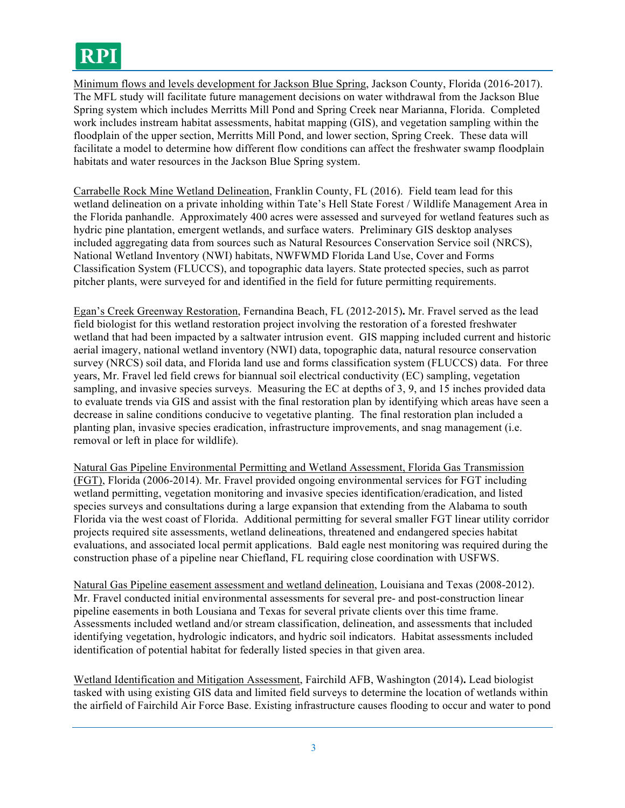Minimum flows and levels development for Jackson Blue Spring, Jackson County, Florida (2016-2017). The MFL study will facilitate future management decisions on water withdrawal from the Jackson Blue Spring system which includes Merritts Mill Pond and Spring Creek near Marianna, Florida. Completed work includes instream habitat assessments, habitat mapping (GIS), and vegetation sampling within the floodplain of the upper section, Merritts Mill Pond, and lower section, Spring Creek. These data will facilitate a model to determine how different flow conditions can affect the freshwater swamp floodplain habitats and water resources in the Jackson Blue Spring system.

Carrabelle Rock Mine Wetland Delineation, Franklin County, FL (2016).Field team lead for this wetland delineation on a private inholding within Tate's Hell State Forest / Wildlife Management Area in the Florida panhandle. Approximately 400 acres were assessed and surveyed for wetland features such as hydric pine plantation, emergent wetlands, and surface waters. Preliminary GIS desktop analyses included aggregating data from sources such as Natural Resources Conservation Service soil (NRCS), National Wetland Inventory (NWI) habitats, NWFWMD Florida Land Use, Cover and Forms Classification System (FLUCCS), and topographic data layers. State protected species, such as parrot pitcher plants, were surveyed for and identified in the field for future permitting requirements.

Egan's Creek Greenway Restoration, Fernandina Beach, FL (2012-2015)**.** Mr. Fravel served as the lead field biologist for this wetland restoration project involving the restoration of a forested freshwater wetland that had been impacted by a saltwater intrusion event. GIS mapping included current and historic aerial imagery, national wetland inventory (NWI) data, topographic data, natural resource conservation survey (NRCS) soil data, and Florida land use and forms classification system (FLUCCS) data. For three years, Mr. Fravel led field crews for biannual soil electrical conductivity (EC) sampling, vegetation sampling, and invasive species surveys. Measuring the EC at depths of 3, 9, and 15 inches provided data to evaluate trends via GIS and assist with the final restoration plan by identifying which areas have seen a decrease in saline conditions conducive to vegetative planting. The final restoration plan included a planting plan, invasive species eradication, infrastructure improvements, and snag management (i.e. removal or left in place for wildlife).

Natural Gas Pipeline Environmental Permitting and Wetland Assessment, Florida Gas Transmission (FGT), Florida (2006-2014). Mr. Fravel provided ongoing environmental services for FGT including wetland permitting, vegetation monitoring and invasive species identification/eradication, and listed species surveys and consultations during a large expansion that extending from the Alabama to south Florida via the west coast of Florida. Additional permitting for several smaller FGT linear utility corridor projects required site assessments, wetland delineations, threatened and endangered species habitat evaluations, and associated local permit applications. Bald eagle nest monitoring was required during the construction phase of a pipeline near Chiefland, FL requiring close coordination with USFWS.

Natural Gas Pipeline easement assessment and wetland delineation, Louisiana and Texas (2008-2012). Mr. Fravel conducted initial environmental assessments for several pre- and post-construction linear pipeline easements in both Lousiana and Texas for several private clients over this time frame. Assessments included wetland and/or stream classification, delineation, and assessments that included identifying vegetation, hydrologic indicators, and hydric soil indicators. Habitat assessments included identification of potential habitat for federally listed species in that given area.

Wetland Identification and Mitigation Assessment, Fairchild AFB, Washington (2014)**.** Lead biologist tasked with using existing GIS data and limited field surveys to determine the location of wetlands within the airfield of Fairchild Air Force Base. Existing infrastructure causes flooding to occur and water to pond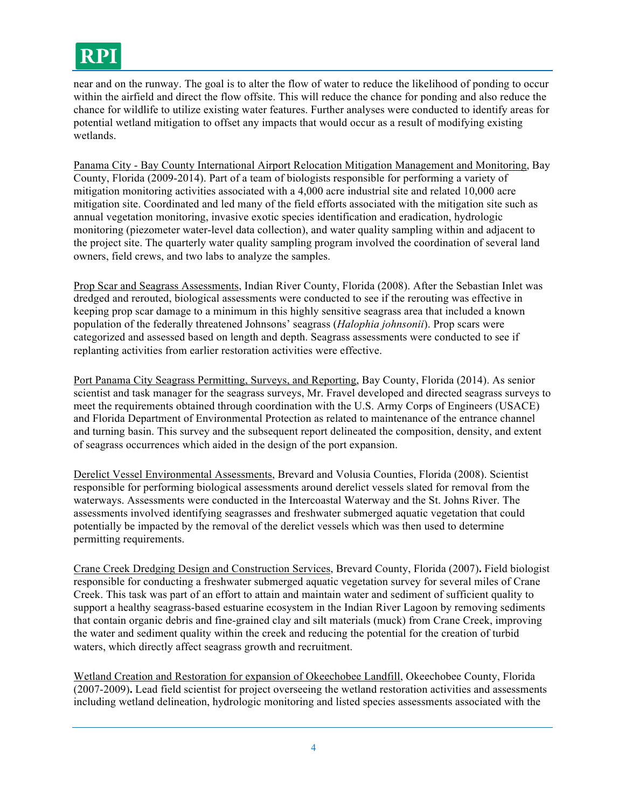near and on the runway. The goal is to alter the flow of water to reduce the likelihood of ponding to occur within the airfield and direct the flow offsite. This will reduce the chance for ponding and also reduce the chance for wildlife to utilize existing water features. Further analyses were conducted to identify areas for potential wetland mitigation to offset any impacts that would occur as a result of modifying existing wetlands.

Panama City - Bay County International Airport Relocation Mitigation Management and Monitoring, Bay County, Florida (2009-2014). Part of a team of biologists responsible for performing a variety of mitigation monitoring activities associated with a 4,000 acre industrial site and related 10,000 acre mitigation site. Coordinated and led many of the field efforts associated with the mitigation site such as annual vegetation monitoring, invasive exotic species identification and eradication, hydrologic monitoring (piezometer water-level data collection), and water quality sampling within and adjacent to the project site. The quarterly water quality sampling program involved the coordination of several land owners, field crews, and two labs to analyze the samples.

Prop Scar and Seagrass Assessments, Indian River County, Florida (2008). After the Sebastian Inlet was dredged and rerouted, biological assessments were conducted to see if the rerouting was effective in keeping prop scar damage to a minimum in this highly sensitive seagrass area that included a known population of the federally threatened Johnsons' seagrass (*Halophia johnsonii*). Prop scars were categorized and assessed based on length and depth. Seagrass assessments were conducted to see if replanting activities from earlier restoration activities were effective.

Port Panama City Seagrass Permitting, Surveys, and Reporting, Bay County, Florida (2014). As senior scientist and task manager for the seagrass surveys, Mr. Fravel developed and directed seagrass surveys to meet the requirements obtained through coordination with the U.S. Army Corps of Engineers (USACE) and Florida Department of Environmental Protection as related to maintenance of the entrance channel and turning basin. This survey and the subsequent report delineated the composition, density, and extent of seagrass occurrences which aided in the design of the port expansion.

Derelict Vessel Environmental Assessments, Brevard and Volusia Counties, Florida (2008). Scientist responsible for performing biological assessments around derelict vessels slated for removal from the waterways. Assessments were conducted in the Intercoastal Waterway and the St. Johns River. The assessments involved identifying seagrasses and freshwater submerged aquatic vegetation that could potentially be impacted by the removal of the derelict vessels which was then used to determine permitting requirements.

Crane Creek Dredging Design and Construction Services, Brevard County, Florida (2007)**.** Field biologist responsible for conducting a freshwater submerged aquatic vegetation survey for several miles of Crane Creek. This task was part of an effort to attain and maintain water and sediment of sufficient quality to support a healthy seagrass-based estuarine ecosystem in the Indian River Lagoon by removing sediments that contain organic debris and fine-grained clay and silt materials (muck) from Crane Creek, improving the water and sediment quality within the creek and reducing the potential for the creation of turbid waters, which directly affect seagrass growth and recruitment.

Wetland Creation and Restoration for expansion of Okeechobee Landfill, Okeechobee County, Florida (2007-2009)**.** Lead field scientist for project overseeing the wetland restoration activities and assessments including wetland delineation, hydrologic monitoring and listed species assessments associated with the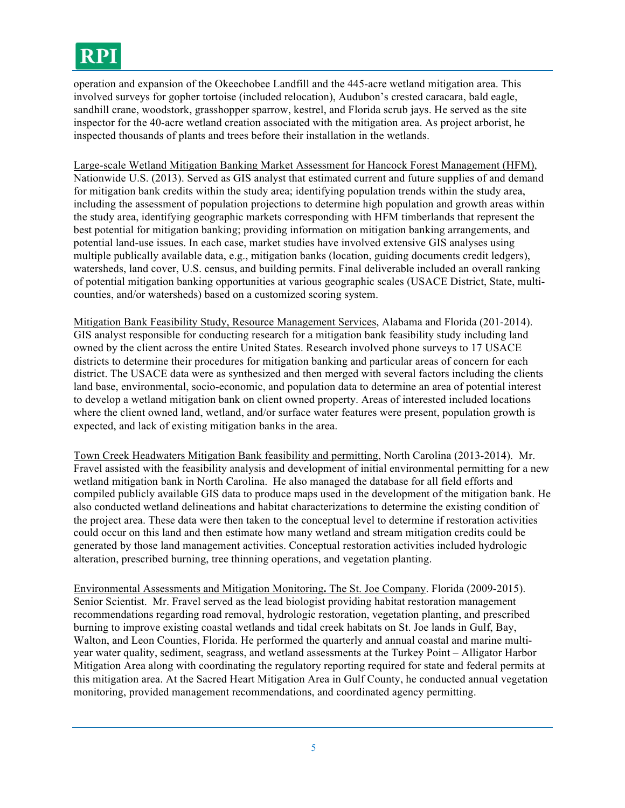# **RPI**

operation and expansion of the Okeechobee Landfill and the 445-acre wetland mitigation area. This involved surveys for gopher tortoise (included relocation), Audubon's crested caracara, bald eagle, sandhill crane, woodstork, grasshopper sparrow, kestrel, and Florida scrub jays. He served as the site inspector for the 40-acre wetland creation associated with the mitigation area. As project arborist, he inspected thousands of plants and trees before their installation in the wetlands.

Large-scale Wetland Mitigation Banking Market Assessment for Hancock Forest Management (HFM), Nationwide U.S. (2013). Served as GIS analyst that estimated current and future supplies of and demand for mitigation bank credits within the study area; identifying population trends within the study area, including the assessment of population projections to determine high population and growth areas within the study area, identifying geographic markets corresponding with HFM timberlands that represent the best potential for mitigation banking; providing information on mitigation banking arrangements, and potential land-use issues. In each case, market studies have involved extensive GIS analyses using multiple publically available data, e.g., mitigation banks (location, guiding documents credit ledgers), watersheds, land cover, U.S. census, and building permits. Final deliverable included an overall ranking of potential mitigation banking opportunities at various geographic scales (USACE District, State, multicounties, and/or watersheds) based on a customized scoring system.

Mitigation Bank Feasibility Study, Resource Management Services, Alabama and Florida (201-2014). GIS analyst responsible for conducting research for a mitigation bank feasibility study including land owned by the client across the entire United States. Research involved phone surveys to 17 USACE districts to determine their procedures for mitigation banking and particular areas of concern for each district. The USACE data were as synthesized and then merged with several factors including the clients land base, environmental, socio-economic, and population data to determine an area of potential interest to develop a wetland mitigation bank on client owned property. Areas of interested included locations where the client owned land, wetland, and/or surface water features were present, population growth is expected, and lack of existing mitigation banks in the area.

Town Creek Headwaters Mitigation Bank feasibility and permitting, North Carolina (2013-2014). Mr. Fravel assisted with the feasibility analysis and development of initial environmental permitting for a new wetland mitigation bank in North Carolina. He also managed the database for all field efforts and compiled publicly available GIS data to produce maps used in the development of the mitigation bank. He also conducted wetland delineations and habitat characterizations to determine the existing condition of the project area. These data were then taken to the conceptual level to determine if restoration activities could occur on this land and then estimate how many wetland and stream mitigation credits could be generated by those land management activities. Conceptual restoration activities included hydrologic alteration, prescribed burning, tree thinning operations, and vegetation planting.

Environmental Assessments and Mitigation Monitoring**.** The St. Joe Company. Florida (2009-2015). Senior Scientist. Mr. Fravel served as the lead biologist providing habitat restoration management recommendations regarding road removal, hydrologic restoration, vegetation planting, and prescribed burning to improve existing coastal wetlands and tidal creek habitats on St. Joe lands in Gulf, Bay, Walton, and Leon Counties, Florida. He performed the quarterly and annual coastal and marine multiyear water quality, sediment, seagrass, and wetland assessments at the Turkey Point – Alligator Harbor Mitigation Area along with coordinating the regulatory reporting required for state and federal permits at this mitigation area. At the Sacred Heart Mitigation Area in Gulf County, he conducted annual vegetation monitoring, provided management recommendations, and coordinated agency permitting.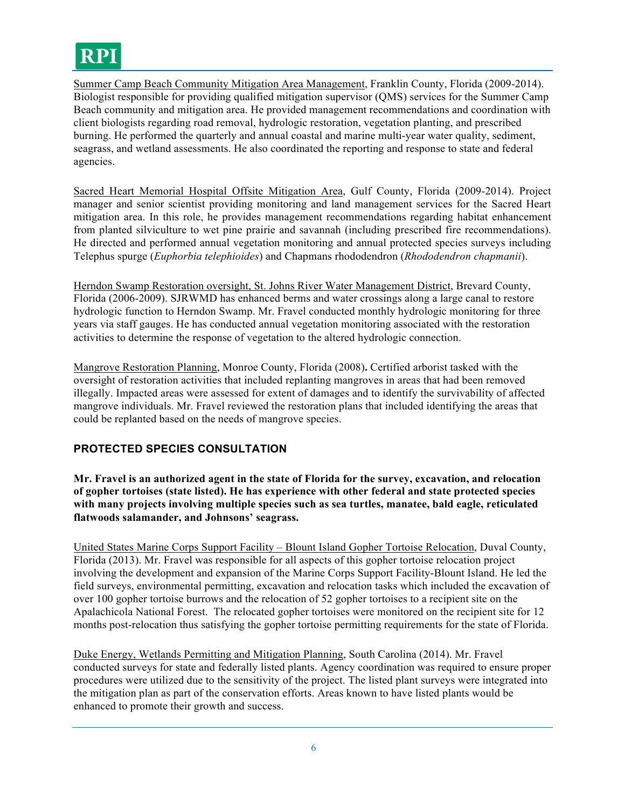

Summer Camp Beach Community Mitigation Area Management, Franklin County, Florida (2009-2014). Biologist responsible for providing qualified mitigation supervisor (QMS) services for the Summer Camp Beach community and mitigation area. He provided management recommendations and coordination with client biologists regarding road removal, hydrologic restoration, vegetation planting, and prescribed burning. He performed the quarterly and annual coastal and marine multi-year water quality, sediment, seagrass, and wetland assessments. He also coordinated the reporting and response to state and federal agencies.

Sacred Heart Memorial Hospital Offsite Mitigation Area, Gulf County, Florida (2009-2014). Project manager and senior scientist providing monitoring and land management services for the Sacred Heart mitigation area. In this role, he provides management recommendations regarding habitat enhancement from planted silviculture to wet pine prairie and savannah (including prescribed fire recommendations). He directed and performed annual vegetation monitoring and annual protected species surveys including Telephus spurge (*Euphorbia telephioides*) and Chapmans rhododendron (*Rhododendron chapmanii*).

Herndon Swamp Restoration oversight, St. Johns River Water Management District, Brevard County, Florida (2006-2009). SJRWMD has enhanced berms and water crossings along a large canal to restore hydrologic function to Herndon Swamp. Mr. Fravel conducted monthly hydrologic monitoring for three years via staff gauges. He has conducted annual vegetation monitoring associated with the restoration activities to determine the response of vegetation to the altered hydrologic connection.

Mangrove Restoration Planning, Monroe County, Florida (2008)**.** Certified arborist tasked with the oversight of restoration activities that included replanting mangroves in areas that had been removed illegally. Impacted areas were assessed for extent of damages and to identify the survivability of affected mangrove individuals. Mr. Fravel reviewed the restoration plans that included identifying the areas that could be replanted based on the needs of mangrove species.

#### **PROTECTED SPECIES CONSULTATION**

**Mr. Fravel is an authorized agent in the state of Florida for the survey, excavation, and relocation of gopher tortoises (state listed). He has experience with other federal and state protected species with many projects involving multiple species such as sea turtles, manatee, bald eagle, reticulated flatwoods salamander, and Johnsons' seagrass.**

United States Marine Corps Support Facility – Blount Island Gopher Tortoise Relocation, Duval County, Florida (2013). Mr. Fravel was responsible for all aspects of this gopher tortoise relocation project involving the development and expansion of the Marine Corps Support Facility-Blount Island. He led the field surveys, environmental permitting, excavation and relocation tasks which included the excavation of over 100 gopher tortoise burrows and the relocation of 52 gopher tortoises to a recipient site on the Apalachicola National Forest. The relocated gopher tortoises were monitored on the recipient site for 12 months post-relocation thus satisfying the gopher tortoise permitting requirements for the state of Florida.

Duke Energy, Wetlands Permitting and Mitigation Planning, South Carolina (2014). Mr. Fravel conducted surveys for state and federally listed plants. Agency coordination was required to ensure proper procedures were utilized due to the sensitivity of the project. The listed plant surveys were integrated into the mitigation plan as part of the conservation efforts. Areas known to have listed plants would be enhanced to promote their growth and success.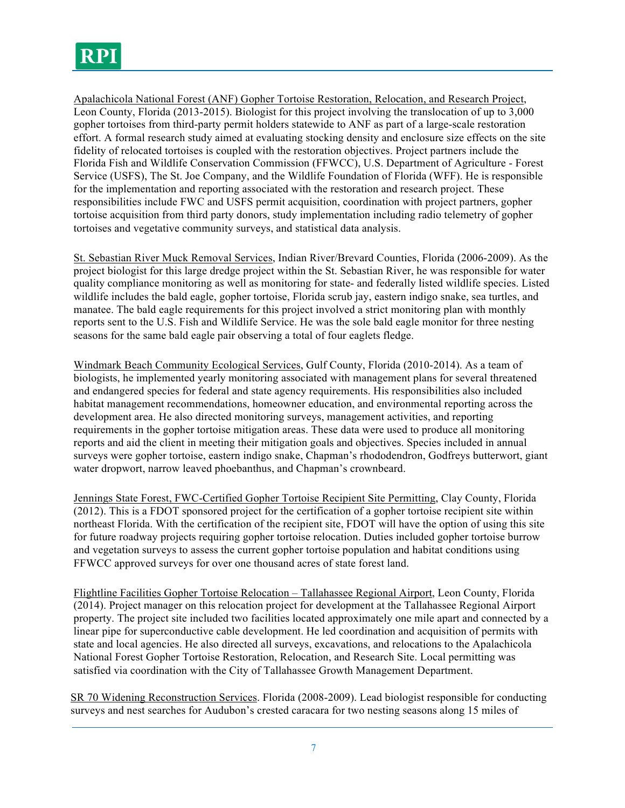Apalachicola National Forest (ANF) Gopher Tortoise Restoration, Relocation, and Research Project, Leon County, Florida (2013-2015). Biologist for this project involving the translocation of up to 3,000 gopher tortoises from third-party permit holders statewide to ANF as part of a large-scale restoration effort. A formal research study aimed at evaluating stocking density and enclosure size effects on the site fidelity of relocated tortoises is coupled with the restoration objectives. Project partners include the Florida Fish and Wildlife Conservation Commission (FFWCC), U.S. Department of Agriculture - Forest Service (USFS), The St. Joe Company, and the Wildlife Foundation of Florida (WFF). He is responsible for the implementation and reporting associated with the restoration and research project. These responsibilities include FWC and USFS permit acquisition, coordination with project partners, gopher tortoise acquisition from third party donors, study implementation including radio telemetry of gopher tortoises and vegetative community surveys, and statistical data analysis.

St. Sebastian River Muck Removal Services, Indian River/Brevard Counties, Florida (2006-2009). As the project biologist for this large dredge project within the St. Sebastian River, he was responsible for water quality compliance monitoring as well as monitoring for state- and federally listed wildlife species. Listed wildlife includes the bald eagle, gopher tortoise, Florida scrub jay, eastern indigo snake, sea turtles, and manatee. The bald eagle requirements for this project involved a strict monitoring plan with monthly reports sent to the U.S. Fish and Wildlife Service. He was the sole bald eagle monitor for three nesting seasons for the same bald eagle pair observing a total of four eaglets fledge.

Windmark Beach Community Ecological Services, Gulf County, Florida (2010-2014). As a team of biologists, he implemented yearly monitoring associated with management plans for several threatened and endangered species for federal and state agency requirements. His responsibilities also included habitat management recommendations, homeowner education, and environmental reporting across the development area. He also directed monitoring surveys, management activities, and reporting requirements in the gopher tortoise mitigation areas. These data were used to produce all monitoring reports and aid the client in meeting their mitigation goals and objectives. Species included in annual surveys were gopher tortoise, eastern indigo snake, Chapman's rhododendron, Godfreys butterwort, giant water dropwort, narrow leaved phoebanthus, and Chapman's crownbeard.

Jennings State Forest, FWC-Certified Gopher Tortoise Recipient Site Permitting, Clay County, Florida (2012). This is a FDOT sponsored project for the certification of a gopher tortoise recipient site within northeast Florida. With the certification of the recipient site, FDOT will have the option of using this site for future roadway projects requiring gopher tortoise relocation. Duties included gopher tortoise burrow and vegetation surveys to assess the current gopher tortoise population and habitat conditions using FFWCC approved surveys for over one thousand acres of state forest land.

Flightline Facilities Gopher Tortoise Relocation – Tallahassee Regional Airport, Leon County, Florida (2014). Project manager on this relocation project for development at the Tallahassee Regional Airport property. The project site included two facilities located approximately one mile apart and connected by a linear pipe for superconductive cable development. He led coordination and acquisition of permits with state and local agencies. He also directed all surveys, excavations, and relocations to the Apalachicola National Forest Gopher Tortoise Restoration, Relocation, and Research Site. Local permitting was satisfied via coordination with the City of Tallahassee Growth Management Department.

SR 70 Widening Reconstruction Services. Florida (2008-2009). Lead biologist responsible for conducting surveys and nest searches for Audubon's crested caracara for two nesting seasons along 15 miles of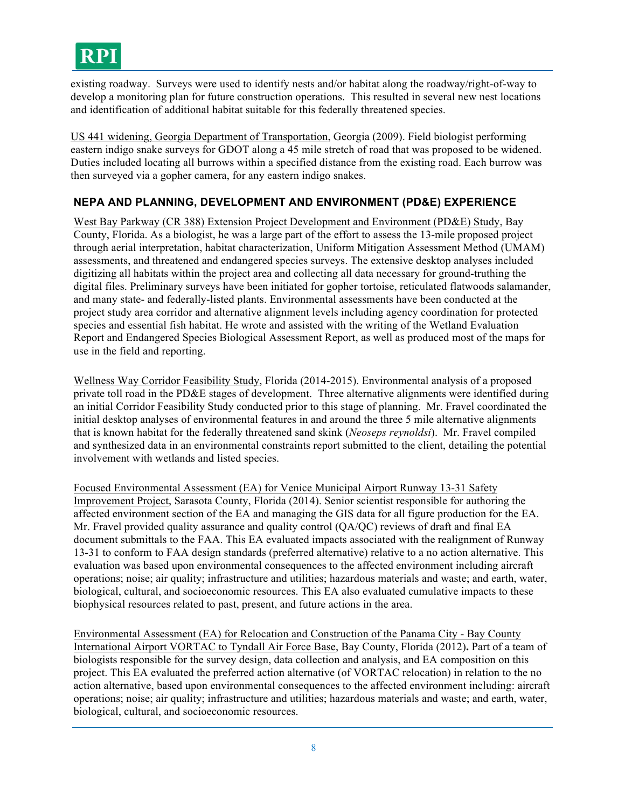

existing roadway. Surveys were used to identify nests and/or habitat along the roadway/right-of-way to develop a monitoring plan for future construction operations. This resulted in several new nest locations and identification of additional habitat suitable for this federally threatened species.

US 441 widening, Georgia Department of Transportation, Georgia (2009). Field biologist performing eastern indigo snake surveys for GDOT along a 45 mile stretch of road that was proposed to be widened. Duties included locating all burrows within a specified distance from the existing road. Each burrow was then surveyed via a gopher camera, for any eastern indigo snakes.

#### **NEPA AND PLANNING, DEVELOPMENT AND ENVIRONMENT (PD&E) EXPERIENCE**

West Bay Parkway (CR 388) Extension Project Development and Environment (PD&E) Study, Bay County, Florida. As a biologist, he was a large part of the effort to assess the 13-mile proposed project through aerial interpretation, habitat characterization, Uniform Mitigation Assessment Method (UMAM) assessments, and threatened and endangered species surveys. The extensive desktop analyses included digitizing all habitats within the project area and collecting all data necessary for ground-truthing the digital files. Preliminary surveys have been initiated for gopher tortoise, reticulated flatwoods salamander, and many state- and federally-listed plants. Environmental assessments have been conducted at the project study area corridor and alternative alignment levels including agency coordination for protected species and essential fish habitat. He wrote and assisted with the writing of the Wetland Evaluation Report and Endangered Species Biological Assessment Report, as well as produced most of the maps for use in the field and reporting.

Wellness Way Corridor Feasibility Study, Florida (2014-2015). Environmental analysis of a proposed private toll road in the PD&E stages of development. Three alternative alignments were identified during an initial Corridor Feasibility Study conducted prior to this stage of planning. Mr. Fravel coordinated the initial desktop analyses of environmental features in and around the three 5 mile alternative alignments that is known habitat for the federally threatened sand skink (*Neoseps reynoldsi*). Mr. Fravel compiled and synthesized data in an environmental constraints report submitted to the client, detailing the potential involvement with wetlands and listed species.

Focused Environmental Assessment (EA) for Venice Municipal Airport Runway 13-31 Safety Improvement Project, Sarasota County, Florida (2014). Senior scientist responsible for authoring the affected environment section of the EA and managing the GIS data for all figure production for the EA. Mr. Fravel provided quality assurance and quality control (QA/QC) reviews of draft and final EA document submittals to the FAA. This EA evaluated impacts associated with the realignment of Runway 13-31 to conform to FAA design standards (preferred alternative) relative to a no action alternative. This evaluation was based upon environmental consequences to the affected environment including aircraft operations; noise; air quality; infrastructure and utilities; hazardous materials and waste; and earth, water, biological, cultural, and socioeconomic resources. This EA also evaluated cumulative impacts to these biophysical resources related to past, present, and future actions in the area.

Environmental Assessment (EA) for Relocation and Construction of the Panama City - Bay County International Airport VORTAC to Tyndall Air Force Base, Bay County, Florida (2012)**.** Part of a team of biologists responsible for the survey design, data collection and analysis, and EA composition on this project. This EA evaluated the preferred action alternative (of VORTAC relocation) in relation to the no action alternative, based upon environmental consequences to the affected environment including: aircraft operations; noise; air quality; infrastructure and utilities; hazardous materials and waste; and earth, water, biological, cultural, and socioeconomic resources.